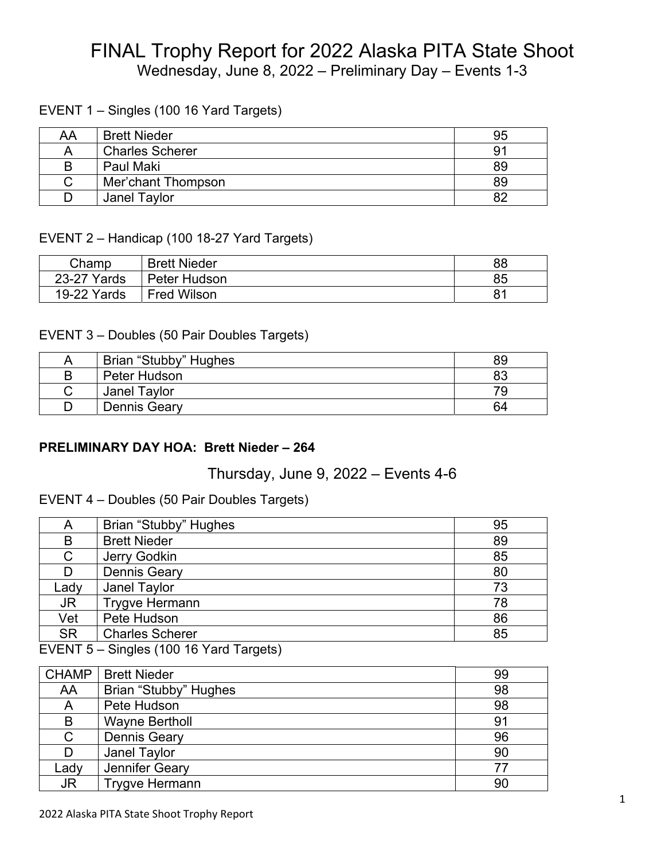# FINAL Trophy Report for 2022 Alaska PITA State Shoot Wednesday, June 8, 2022 – Preliminary Day – Events 1-3

#### EVENT 1 – Singles (100 16 Yard Targets)

| AA | <b>Brett Nieder</b>    | 95 |
|----|------------------------|----|
|    | <b>Charles Scherer</b> | 91 |
| B  | Paul Maki              | 89 |
|    | Mer'chant Thompson     | 89 |
|    | <b>Janel Taylor</b>    |    |

#### EVENT 2 – Handicap (100 18-27 Yard Targets)

| Champ       | <b>Brett Nieder</b> | 88 |
|-------------|---------------------|----|
| 23-27 Yards | Peter Hudson        | 85 |
| 19-22 Yards | <b>Fred Wilson</b>  |    |

#### EVENT 3 – Doubles (50 Pair Doubles Targets)

| Brian "Stubby" Hughes | 89 |
|-----------------------|----|
| Peter Hudson          | 83 |
| Janel Taylor          | 79 |
| <b>Dennis Geary</b>   | 64 |

#### **PRELIMINARY DAY HOA: Brett Nieder – 264**

### Thursday, June 9, 2022 – Events 4-6

#### EVENT 4 – Doubles (50 Pair Doubles Targets)

| Brian "Stubby" Hughes  | 95 |
|------------------------|----|
| <b>Brett Nieder</b>    | 89 |
| Jerry Godkin           | 85 |
| <b>Dennis Geary</b>    | 80 |
| Janel Taylor           | 73 |
| <b>Trygve Hermann</b>  | 78 |
| Pete Hudson            | 86 |
| <b>Charles Scherer</b> | 85 |
|                        |    |

#### EVENT 5 – Singles (100 16 Yard Targets)

| <b>CHAMP</b> | Brett Nieder          | 99 |
|--------------|-----------------------|----|
| AA           | Brian "Stubby" Hughes | 98 |
| A            | Pete Hudson           | 98 |
| B            | <b>Wayne Bertholl</b> | 91 |
| C            | <b>Dennis Geary</b>   | 96 |
| D            | Janel Taylor          | 90 |
| $L$ ady      | Jennifer Geary        | 77 |
| <b>JR</b>    | <b>Trygve Hermann</b> | 90 |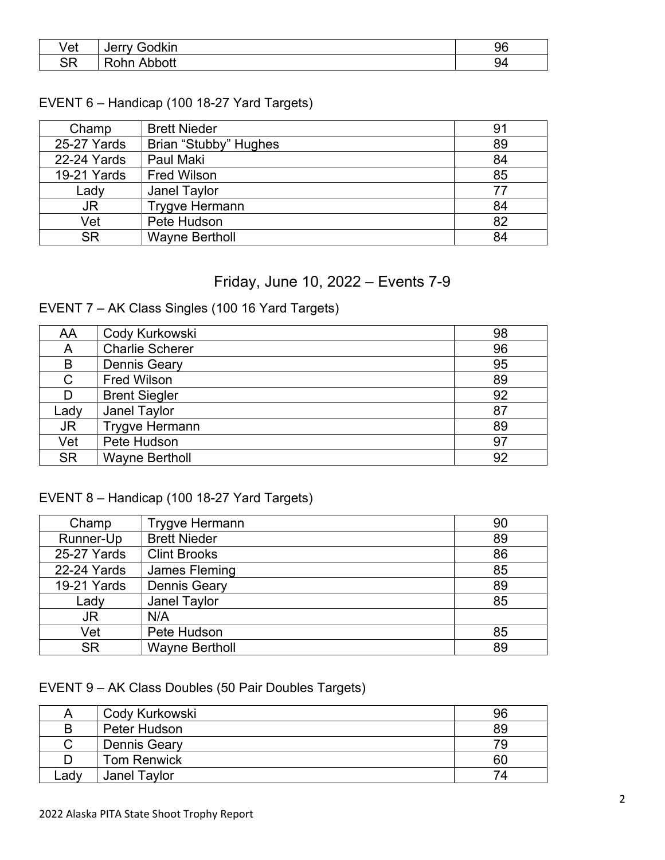| Vet       | dlzin<br>Jerr<br>INIL. | 96 |
|-----------|------------------------|----|
| <b>SR</b> | ott<br>აhr<br>ĸ        | 94 |

### EVENT 6 – Handicap (100 18-27 Yard Targets)

| Champ       | <b>Brett Nieder</b>   | 91 |
|-------------|-----------------------|----|
| 25-27 Yards | Brian "Stubby" Hughes | 89 |
| 22-24 Yards | Paul Maki             | 84 |
| 19-21 Yards | <b>Fred Wilson</b>    | 85 |
| Lady        | Janel Taylor          | 77 |
| JR.         | <b>Trygve Hermann</b> | 84 |
| Vet         | Pete Hudson           | 82 |
| <b>SR</b>   | <b>Wayne Bertholl</b> | 84 |

## Friday, June 10, 2022 – Events 7-9

### EVENT 7 – AK Class Singles (100 16 Yard Targets)

| AA        | Cody Kurkowski         | 98 |
|-----------|------------------------|----|
| Α         | <b>Charlie Scherer</b> | 96 |
| B         | <b>Dennis Geary</b>    | 95 |
| C         | <b>Fred Wilson</b>     | 89 |
| D         | <b>Brent Siegler</b>   | 92 |
| ∟ady      | Janel Taylor           | 87 |
| <b>JR</b> | <b>Trygve Hermann</b>  | 89 |
| Vet       | Pete Hudson            | 97 |
| <b>SR</b> | <b>Wayne Bertholl</b>  | 92 |

### EVENT 8 – Handicap (100 18-27 Yard Targets)

| Champ       | <b>Trygve Hermann</b> | 90 |
|-------------|-----------------------|----|
| Runner-Up   | <b>Brett Nieder</b>   | 89 |
| 25-27 Yards | <b>Clint Brooks</b>   | 86 |
| 22-24 Yards | James Fleming         | 85 |
| 19-21 Yards | <b>Dennis Geary</b>   | 89 |
| Lady        | Janel Taylor          | 85 |
| <b>JR</b>   | N/A                   |    |
| Vet         | Pete Hudson           | 85 |
| <b>SR</b>   | <b>Wayne Bertholl</b> | 89 |

### EVENT 9 – AK Class Doubles (50 Pair Doubles Targets)

|      | Cody Kurkowski      | 96 |
|------|---------------------|----|
| B    | Peter Hudson        | 89 |
| С    | <b>Dennis Geary</b> | 79 |
|      | <b>Tom Renwick</b>  | 60 |
| Ladv | Janel Taylor        | ′4 |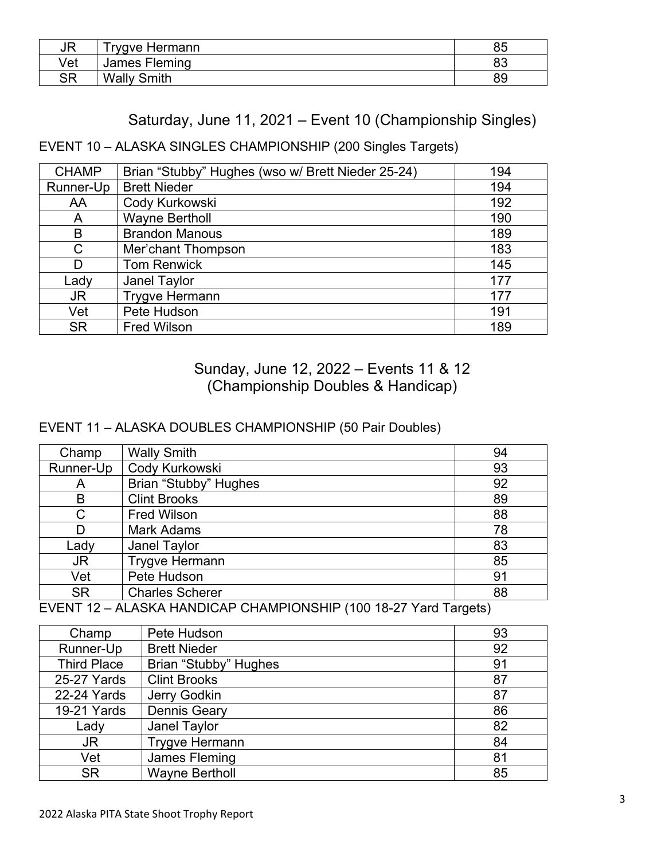| <b>JR</b>  | Frygve Hermann     | 85       |
|------------|--------------------|----------|
| √et        | James Fleming      | റെ<br>υJ |
| $S{\sf R}$ | <b>Wally Smith</b> | oσ<br>oy |

## Saturday, June 11, 2021 – Event 10 (Championship Singles)

### EVENT 10 – ALASKA SINGLES CHAMPIONSHIP (200 Singles Targets)

| <b>CHAMP</b> | Brian "Stubby" Hughes (wso w/ Brett Nieder 25-24) | 194 |
|--------------|---------------------------------------------------|-----|
| Runner-Up    | <b>Brett Nieder</b>                               | 194 |
| AA           | Cody Kurkowski                                    | 192 |
| A            | <b>Wayne Bertholl</b>                             | 190 |
| B            | <b>Brandon Manous</b>                             | 189 |
| C            | Mer'chant Thompson                                | 183 |
| D            | <b>Tom Renwick</b>                                | 145 |
| Lady         | Janel Taylor                                      | 177 |
| <b>JR</b>    | <b>Trygve Hermann</b>                             | 177 |
| Vet          | Pete Hudson                                       | 191 |
| <b>SR</b>    | <b>Fred Wilson</b>                                | 189 |

## Sunday, June 12, 2022 – Events 11 & 12 (Championship Doubles & Handicap)

### EVENT 11 – ALASKA DOUBLES CHAMPIONSHIP (50 Pair Doubles)

| Champ     | <b>Wally Smith</b>     | 94 |
|-----------|------------------------|----|
| Runner-Up | Cody Kurkowski         | 93 |
| A         | Brian "Stubby" Hughes  | 92 |
| B         | <b>Clint Brooks</b>    | 89 |
| C         | <b>Fred Wilson</b>     | 88 |
| D         | <b>Mark Adams</b>      | 78 |
| Lady      | Janel Taylor           | 83 |
| <b>JR</b> | <b>Trygve Hermann</b>  | 85 |
| Vet       | Pete Hudson            | 91 |
| <b>SR</b> | <b>Charles Scherer</b> | 88 |

EVENT 12 – ALASKA HANDICAP CHAMPIONSHIP (100 18-27 Yard Targets)

| Champ              | Pete Hudson           | 93 |
|--------------------|-----------------------|----|
| Runner-Up          | <b>Brett Nieder</b>   | 92 |
| <b>Third Place</b> | Brian "Stubby" Hughes | 91 |
| 25-27 Yards        | <b>Clint Brooks</b>   | 87 |
| 22-24 Yards        | Jerry Godkin          | 87 |
| 19-21 Yards        | <b>Dennis Geary</b>   | 86 |
| Lady               | Janel Taylor          | 82 |
| JR                 | <b>Trygve Hermann</b> | 84 |
| Vet                | James Fleming         | 81 |
| <b>SR</b>          | <b>Wayne Bertholl</b> | 85 |